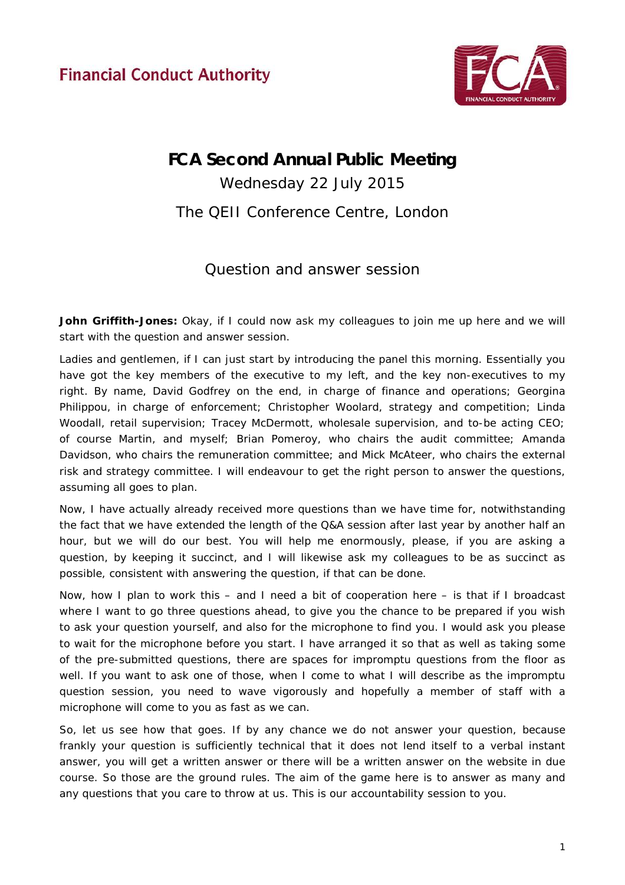**Financial Conduct Authority** 



## **FCA Second Annual Public Meeting**

Wednesday 22 July 2015 The QEII Conference Centre, London

## Question and answer session

**John Griffith-Jones:** Okay, if I could now ask my colleagues to join me up here and we will start with the question and answer session.

Ladies and gentlemen, if I can just start by introducing the panel this morning. Essentially you have got the key members of the executive to my left, and the key non-executives to my right. By name, David Godfrey on the end, in charge of finance and operations; Georgina Philippou, in charge of enforcement; Christopher Woolard, strategy and competition; Linda Woodall, retail supervision; Tracey McDermott, wholesale supervision, and to-be acting CEO; of course Martin, and myself; Brian Pomeroy, who chairs the audit committee; Amanda Davidson, who chairs the remuneration committee; and Mick McAteer, who chairs the external risk and strategy committee. I will endeavour to get the right person to answer the questions, assuming all goes to plan.

Now, I have actually already received more questions than we have time for, notwithstanding the fact that we have extended the length of the Q&A session after last year by another half an hour, but we will do our best. You will help me enormously, please, if you are asking a question, by keeping it succinct, and I will likewise ask my colleagues to be as succinct as possible, consistent with answering the question, if that can be done.

Now, how I plan to work this – and I need a bit of cooperation here – is that if I broadcast where I want to go three questions ahead, to give you the chance to be prepared if you wish to ask your question yourself, and also for the microphone to find you. I would ask you please to wait for the microphone before you start. I have arranged it so that as well as taking some of the pre-submitted questions, there are spaces for impromptu questions from the floor as well. If you want to ask one of those, when I come to what I will describe as the impromptu question session, you need to wave vigorously and hopefully a member of staff with a microphone will come to you as fast as we can.

So, let us see how that goes. If by any chance we do not answer your question, because frankly your question is sufficiently technical that it does not lend itself to a verbal instant answer, you will get a written answer or there will be a written answer on the website in due course. So those are the ground rules. The aim of the game here is to answer as many and any questions that you care to throw at us. This is our accountability session to you.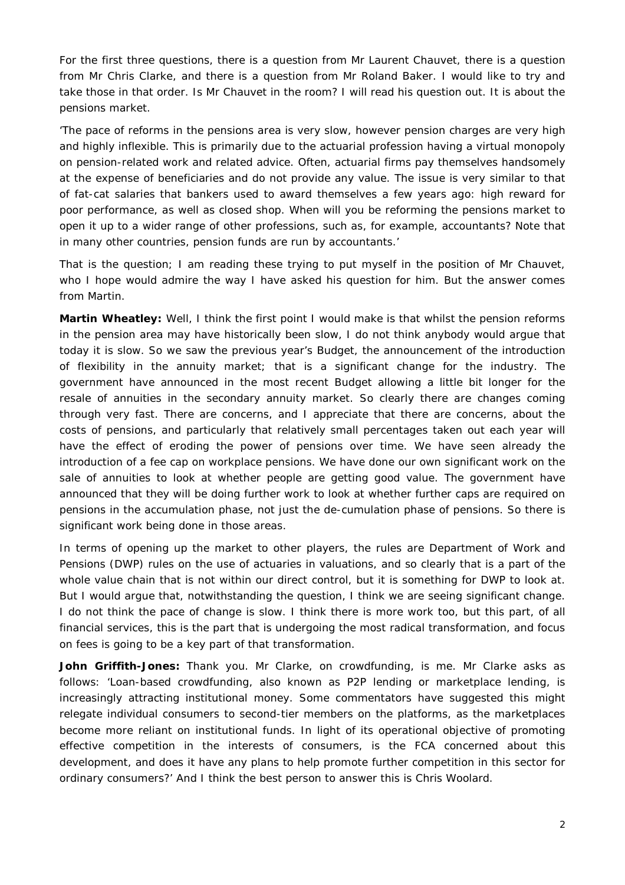For the first three questions, there is a question from Mr Laurent Chauvet, there is a question from Mr Chris Clarke, and there is a question from Mr Roland Baker. I would like to try and take those in that order. Is Mr Chauvet in the room? I will read his question out. It is about the pensions market.

'The pace of reforms in the pensions area is very slow, however pension charges are very high and highly inflexible. This is primarily due to the actuarial profession having a virtual monopoly on pension-related work and related advice. Often, actuarial firms pay themselves handsomely at the expense of beneficiaries and do not provide any value. The issue is very similar to that of fat-cat salaries that bankers used to award themselves a few years ago: high reward for poor performance, as well as closed shop. When will you be reforming the pensions market to open it up to a wider range of other professions, such as, for example, accountants? Note that in many other countries, pension funds are run by accountants.'

That is the question; I am reading these trying to put myself in the position of Mr Chauvet, who I hope would admire the way I have asked his question for him. But the answer comes from Martin.

**Martin Wheatley:** Well, I think the first point I would make is that whilst the pension reforms in the pension area may have historically been slow, I do not think anybody would argue that today it is slow. So we saw the previous year's Budget, the announcement of the introduction of flexibility in the annuity market; that is a significant change for the industry. The government have announced in the most recent Budget allowing a little bit longer for the resale of annuities in the secondary annuity market. So clearly there are changes coming through very fast. There are concerns, and I appreciate that there are concerns, about the costs of pensions, and particularly that relatively small percentages taken out each year will have the effect of eroding the power of pensions over time. We have seen already the introduction of a fee cap on workplace pensions. We have done our own significant work on the sale of annuities to look at whether people are getting good value. The government have announced that they will be doing further work to look at whether further caps are required on pensions in the accumulation phase, not just the de-cumulation phase of pensions. So there is significant work being done in those areas.

In terms of opening up the market to other players, the rules are Department of Work and Pensions (DWP) rules on the use of actuaries in valuations, and so clearly that is a part of the whole value chain that is not within our direct control, but it is something for DWP to look at. But I would argue that, notwithstanding the question, I think we are seeing significant change. I do not think the pace of change is slow. I think there is more work too, but this part, of all financial services, this is the part that is undergoing the most radical transformation, and focus on fees is going to be a key part of that transformation.

**John Griffith-Jones:** Thank you. Mr Clarke, on crowdfunding, is me. Mr Clarke asks as follows: 'Loan-based crowdfunding, also known as P2P lending or marketplace lending, is increasingly attracting institutional money. Some commentators have suggested this might relegate individual consumers to second-tier members on the platforms, as the marketplaces become more reliant on institutional funds. In light of its operational objective of promoting effective competition in the interests of consumers, is the FCA concerned about this development, and does it have any plans to help promote further competition in this sector for ordinary consumers?' And I think the best person to answer this is Chris Woolard.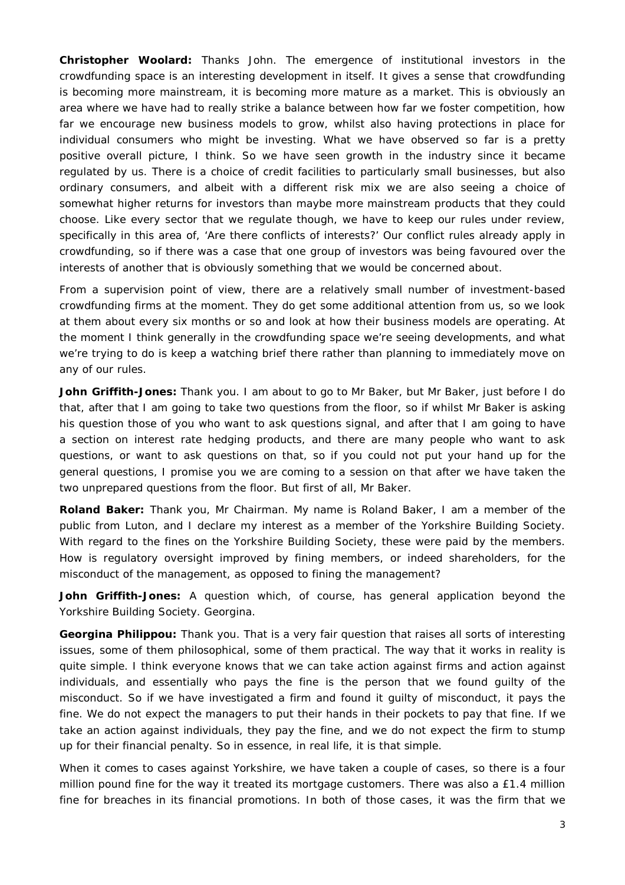**Christopher Woolard:** Thanks John. The emergence of institutional investors in the crowdfunding space is an interesting development in itself. It gives a sense that crowdfunding is becoming more mainstream, it is becoming more mature as a market. This is obviously an area where we have had to really strike a balance between how far we foster competition, how far we encourage new business models to grow, whilst also having protections in place for individual consumers who might be investing. What we have observed so far is a pretty positive overall picture, I think. So we have seen growth in the industry since it became regulated by us. There is a choice of credit facilities to particularly small businesses, but also ordinary consumers, and albeit with a different risk mix we are also seeing a choice of somewhat higher returns for investors than maybe more mainstream products that they could choose. Like every sector that we regulate though, we have to keep our rules under review, specifically in this area of, 'Are there conflicts of interests?' Our conflict rules already apply in crowdfunding, so if there was a case that one group of investors was being favoured over the interests of another that is obviously something that we would be concerned about.

From a supervision point of view, there are a relatively small number of investment-based crowdfunding firms at the moment. They do get some additional attention from us, so we look at them about every six months or so and look at how their business models are operating. At the moment I think generally in the crowdfunding space we're seeing developments, and what we're trying to do is keep a watching brief there rather than planning to immediately move on any of our rules.

**John Griffith-Jones:** Thank you. I am about to go to Mr Baker, but Mr Baker, just before I do that, after that I am going to take two questions from the floor, so if whilst Mr Baker is asking his question those of you who want to ask questions signal, and after that I am going to have a section on interest rate hedging products, and there are many people who want to ask questions, or want to ask questions on that, so if you could not put your hand up for the general questions, I promise you we are coming to a session on that after we have taken the two unprepared questions from the floor. But first of all, Mr Baker.

**Roland Baker:** Thank you, Mr Chairman. My name is Roland Baker, I am a member of the public from Luton, and I declare my interest as a member of the Yorkshire Building Society. With regard to the fines on the Yorkshire Building Society, these were paid by the members. How is regulatory oversight improved by fining members, or indeed shareholders, for the misconduct of the management, as opposed to fining the management?

**John Griffith-Jones:** A question which, of course, has general application beyond the Yorkshire Building Society. Georgina.

**Georgina Philippou:** Thank you. That is a very fair question that raises all sorts of interesting issues, some of them philosophical, some of them practical. The way that it works in reality is quite simple. I think everyone knows that we can take action against firms and action against individuals, and essentially who pays the fine is the person that we found guilty of the misconduct. So if we have investigated a firm and found it guilty of misconduct, it pays the fine. We do not expect the managers to put their hands in their pockets to pay that fine. If we take an action against individuals, they pay the fine, and we do not expect the firm to stump up for their financial penalty. So in essence, in real life, it is that simple.

When it comes to cases against Yorkshire, we have taken a couple of cases, so there is a four million pound fine for the way it treated its mortgage customers. There was also a £1.4 million fine for breaches in its financial promotions. In both of those cases, it was the firm that we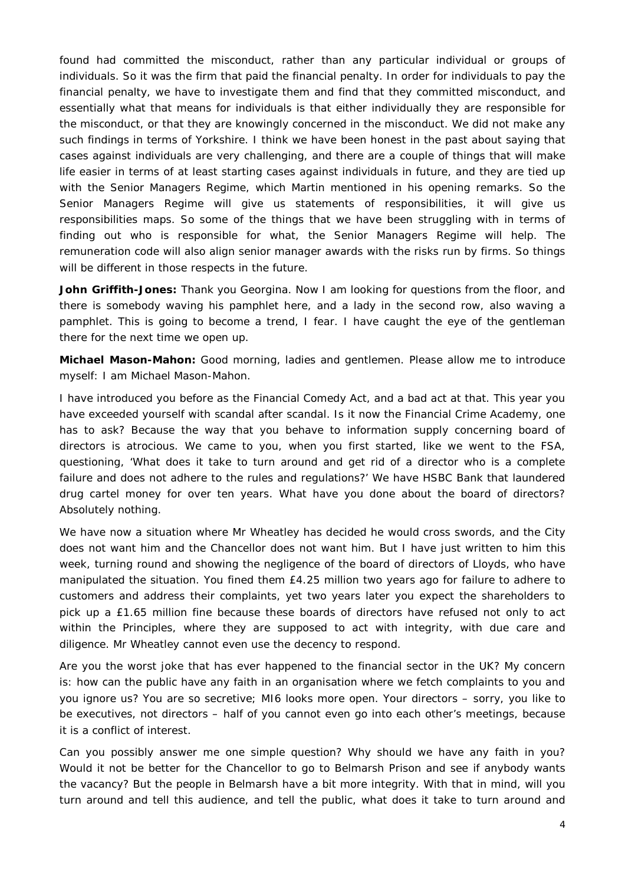found had committed the misconduct, rather than any particular individual or groups of individuals. So it was the firm that paid the financial penalty. In order for individuals to pay the financial penalty, we have to investigate them and find that they committed misconduct, and essentially what that means for individuals is that either individually they are responsible for the misconduct, or that they are knowingly concerned in the misconduct. We did not make any such findings in terms of Yorkshire. I think we have been honest in the past about saying that cases against individuals are very challenging, and there are a couple of things that will make life easier in terms of at least starting cases against individuals in future, and they are tied up with the Senior Managers Regime, which Martin mentioned in his opening remarks. So the Senior Managers Regime will give us statements of responsibilities, it will give us responsibilities maps. So some of the things that we have been struggling with in terms of finding out who is responsible for what, the Senior Managers Regime will help. The remuneration code will also align senior manager awards with the risks run by firms. So things will be different in those respects in the future.

John Griffith-Jones: Thank you Georgina. Now I am looking for questions from the floor, and there is somebody waving his pamphlet here, and a lady in the second row, also waving a pamphlet. This is going to become a trend, I fear. I have caught the eye of the gentleman there for the next time we open up.

**Michael Mason-Mahon:** Good morning, ladies and gentlemen. Please allow me to introduce myself: I am Michael Mason-Mahon.

I have introduced you before as the Financial Comedy Act, and a bad act at that. This year you have exceeded yourself with scandal after scandal. Is it now the Financial Crime Academy, one has to ask? Because the way that you behave to information supply concerning board of directors is atrocious. We came to you, when you first started, like we went to the FSA, questioning, 'What does it take to turn around and get rid of a director who is a complete failure and does not adhere to the rules and regulations?' We have HSBC Bank that laundered drug cartel money for over ten years. What have you done about the board of directors? Absolutely nothing.

We have now a situation where Mr Wheatley has decided he would cross swords, and the City does not want him and the Chancellor does not want him. But I have just written to him this week, turning round and showing the negligence of the board of directors of Lloyds, who have manipulated the situation. You fined them £4.25 million two years ago for failure to adhere to customers and address their complaints, yet two years later you expect the shareholders to pick up a £1.65 million fine because these boards of directors have refused not only to act within the Principles, where they are supposed to act with integrity, with due care and diligence. Mr Wheatley cannot even use the decency to respond.

Are you the worst joke that has ever happened to the financial sector in the UK? My concern is: how can the public have any faith in an organisation where we fetch complaints to you and you ignore us? You are so secretive; MI6 looks more open. Your directors – sorry, you like to be executives, not directors – half of you cannot even go into each other's meetings, because it is a conflict of interest.

Can you possibly answer me one simple question? Why should we have any faith in you? Would it not be better for the Chancellor to go to Belmarsh Prison and see if anybody wants the vacancy? But the people in Belmarsh have a bit more integrity. With that in mind, will you turn around and tell this audience, and tell the public, what does it take to turn around and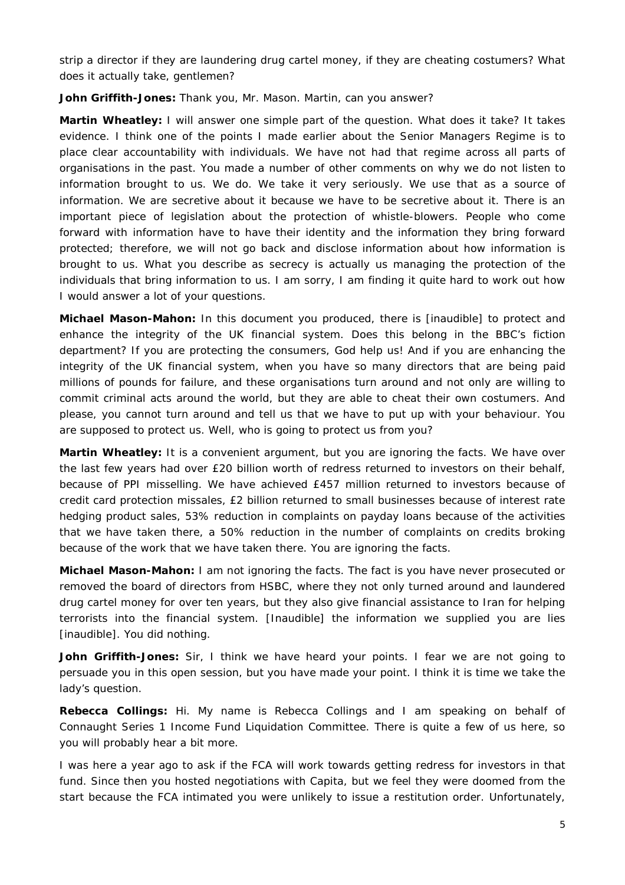strip a director if they are laundering drug cartel money, if they are cheating costumers? What does it actually take, gentlemen?

**John Griffith-Jones:** Thank you, Mr. Mason. Martin, can you answer?

**Martin Wheatley:** I will answer one simple part of the question. What does it take? It takes evidence. I think one of the points I made earlier about the Senior Managers Regime is to place clear accountability with individuals. We have not had that regime across all parts of organisations in the past. You made a number of other comments on why we do not listen to information brought to us. We do. We take it very seriously. We use that as a source of information. We are secretive about it because we have to be secretive about it. There is an important piece of legislation about the protection of whistle-blowers. People who come forward with information have to have their identity and the information they bring forward protected; therefore, we will not go back and disclose information about how information is brought to us. What you describe as secrecy is actually us managing the protection of the individuals that bring information to us. I am sorry, I am finding it quite hard to work out how I would answer a lot of your questions.

**Michael Mason-Mahon:** In this document you produced, there is [inaudible] to protect and enhance the integrity of the UK financial system. Does this belong in the BBC's fiction department? If you are protecting the consumers, God help us! And if you are enhancing the integrity of the UK financial system, when you have so many directors that are being paid millions of pounds for failure, and these organisations turn around and not only are willing to commit criminal acts around the world, but they are able to cheat their own costumers. And please, you cannot turn around and tell us that we have to put up with your behaviour. You are supposed to protect us. Well, who is going to protect us from you?

**Martin Wheatley:** It is a convenient argument, but you are ignoring the facts. We have over the last few years had over £20 billion worth of redress returned to investors on their behalf, because of PPI misselling. We have achieved £457 million returned to investors because of credit card protection missales, £2 billion returned to small businesses because of interest rate hedging product sales, 53% reduction in complaints on payday loans because of the activities that we have taken there, a 50% reduction in the number of complaints on credits broking because of the work that we have taken there. You are ignoring the facts.

**Michael Mason-Mahon:** I am not ignoring the facts. The fact is you have never prosecuted or removed the board of directors from HSBC, where they not only turned around and laundered drug cartel money for over ten years, but they also give financial assistance to Iran for helping terrorists into the financial system. [Inaudible] the information we supplied you are lies [inaudible]. You did nothing.

**John Griffith-Jones:** Sir, I think we have heard your points. I fear we are not going to persuade you in this open session, but you have made your point. I think it is time we take the lady's question.

**Rebecca Collings:** Hi. My name is Rebecca Collings and I am speaking on behalf of Connaught Series 1 Income Fund Liquidation Committee. There is quite a few of us here, so you will probably hear a bit more.

I was here a year ago to ask if the FCA will work towards getting redress for investors in that fund. Since then you hosted negotiations with Capita, but we feel they were doomed from the start because the FCA intimated you were unlikely to issue a restitution order. Unfortunately,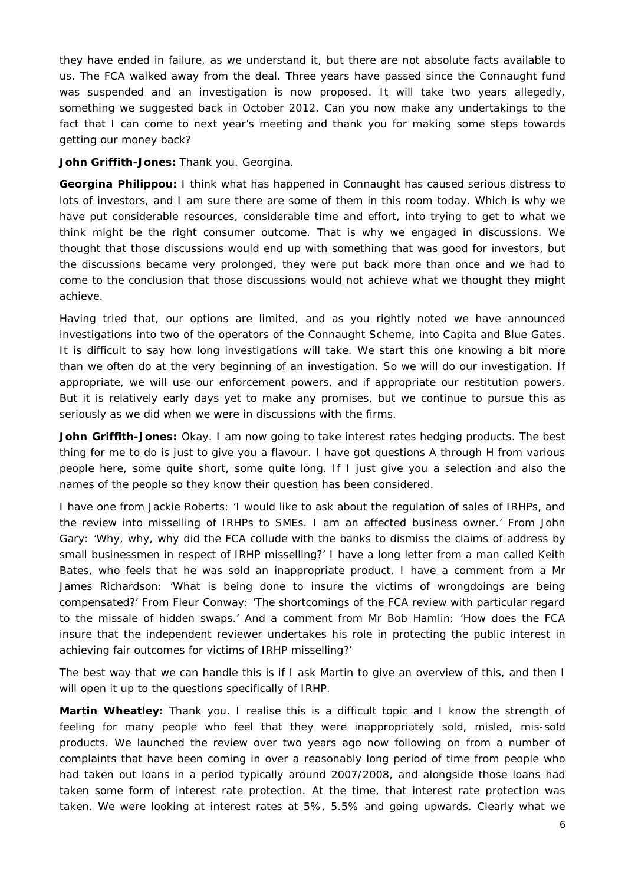they have ended in failure, as we understand it, but there are not absolute facts available to us. The FCA walked away from the deal. Three years have passed since the Connaught fund was suspended and an investigation is now proposed. It will take two years allegedly, something we suggested back in October 2012. Can you now make any undertakings to the fact that I can come to next year's meeting and thank you for making some steps towards getting our money back?

**John Griffith-Jones:** Thank you. Georgina.

**Georgina Philippou:** I think what has happened in Connaught has caused serious distress to lots of investors, and I am sure there are some of them in this room today. Which is why we have put considerable resources, considerable time and effort, into trying to get to what we think might be the right consumer outcome. That is why we engaged in discussions. We thought that those discussions would end up with something that was good for investors, but the discussions became very prolonged, they were put back more than once and we had to come to the conclusion that those discussions would not achieve what we thought they might achieve.

Having tried that, our options are limited, and as you rightly noted we have announced investigations into two of the operators of the Connaught Scheme, into Capita and Blue Gates. It is difficult to say how long investigations will take. We start this one knowing a bit more than we often do at the very beginning of an investigation. So we will do our investigation. If appropriate, we will use our enforcement powers, and if appropriate our restitution powers. But it is relatively early days yet to make any promises, but we continue to pursue this as seriously as we did when we were in discussions with the firms.

**John Griffith-Jones:** Okay. I am now going to take interest rates hedging products. The best thing for me to do is just to give you a flavour. I have got questions A through H from various people here, some quite short, some quite long. If I just give you a selection and also the names of the people so they know their question has been considered.

I have one from Jackie Roberts: 'I would like to ask about the regulation of sales of IRHPs, and the review into misselling of IRHPs to SMEs. I am an affected business owner.' From John Gary: 'Why, why, why did the FCA collude with the banks to dismiss the claims of address by small businessmen in respect of IRHP misselling?' I have a long letter from a man called Keith Bates, who feels that he was sold an inappropriate product. I have a comment from a Mr James Richardson: 'What is being done to insure the victims of wrongdoings are being compensated?' From Fleur Conway: 'The shortcomings of the FCA review with particular regard to the missale of hidden swaps.' And a comment from Mr Bob Hamlin: 'How does the FCA insure that the independent reviewer undertakes his role in protecting the public interest in achieving fair outcomes for victims of IRHP misselling?'

The best way that we can handle this is if I ask Martin to give an overview of this, and then I will open it up to the questions specifically of IRHP.

**Martin Wheatley:** Thank you. I realise this is a difficult topic and I know the strength of feeling for many people who feel that they were inappropriately sold, misled, mis-sold products. We launched the review over two years ago now following on from a number of complaints that have been coming in over a reasonably long period of time from people who had taken out loans in a period typically around 2007/2008, and alongside those loans had taken some form of interest rate protection. At the time, that interest rate protection was taken. We were looking at interest rates at 5%, 5.5% and going upwards. Clearly what we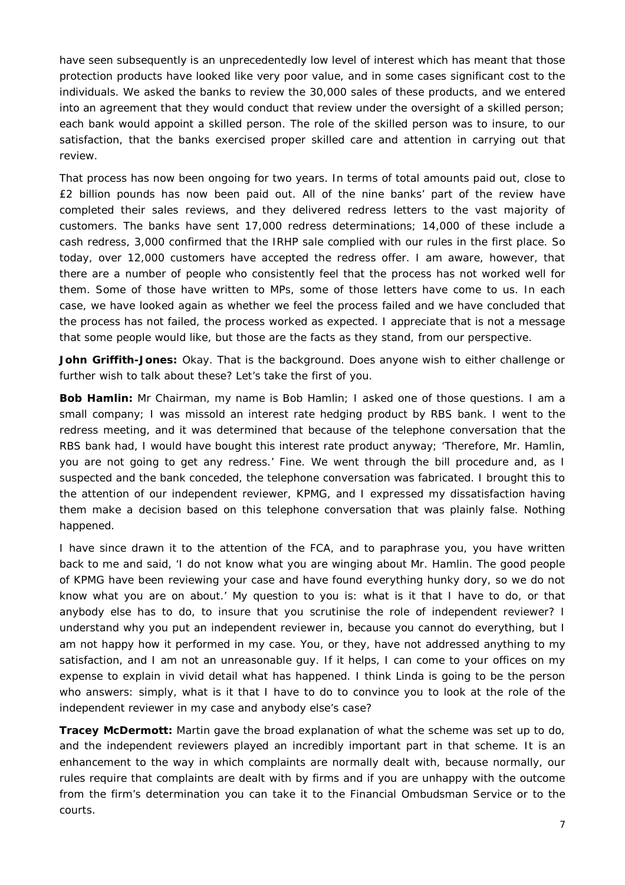have seen subsequently is an unprecedentedly low level of interest which has meant that those protection products have looked like very poor value, and in some cases significant cost to the individuals. We asked the banks to review the 30,000 sales of these products, and we entered into an agreement that they would conduct that review under the oversight of a skilled person; each bank would appoint a skilled person. The role of the skilled person was to insure, to our satisfaction, that the banks exercised proper skilled care and attention in carrying out that review.

That process has now been ongoing for two years. In terms of total amounts paid out, close to £2 billion pounds has now been paid out. All of the nine banks' part of the review have completed their sales reviews, and they delivered redress letters to the vast majority of customers. The banks have sent 17,000 redress determinations; 14,000 of these include a cash redress, 3,000 confirmed that the IRHP sale complied with our rules in the first place. So today, over 12,000 customers have accepted the redress offer. I am aware, however, that there are a number of people who consistently feel that the process has not worked well for them. Some of those have written to MPs, some of those letters have come to us. In each case, we have looked again as whether we feel the process failed and we have concluded that the process has not failed, the process worked as expected. I appreciate that is not a message that some people would like, but those are the facts as they stand, from our perspective.

**John Griffith-Jones:** Okay. That is the background. Does anyone wish to either challenge or further wish to talk about these? Let's take the first of you.

**Bob Hamlin:** Mr Chairman, my name is Bob Hamlin; I asked one of those questions. I am a small company; I was missold an interest rate hedging product by RBS bank. I went to the redress meeting, and it was determined that because of the telephone conversation that the RBS bank had, I would have bought this interest rate product anyway; 'Therefore, Mr. Hamlin, you are not going to get any redress.' Fine. We went through the bill procedure and, as I suspected and the bank conceded, the telephone conversation was fabricated. I brought this to the attention of our independent reviewer, KPMG, and I expressed my dissatisfaction having them make a decision based on this telephone conversation that was plainly false. Nothing happened.

I have since drawn it to the attention of the FCA, and to paraphrase you, you have written back to me and said, 'I do not know what you are winging about Mr. Hamlin. The good people of KPMG have been reviewing your case and have found everything hunky dory, so we do not know what you are on about.' My question to you is: what is it that I have to do, or that anybody else has to do, to insure that you scrutinise the role of independent reviewer? I understand why you put an independent reviewer in, because you cannot do everything, but I am not happy how it performed in my case. You, or they, have not addressed anything to my satisfaction, and I am not an unreasonable guy. If it helps, I can come to your offices on my expense to explain in vivid detail what has happened. I think Linda is going to be the person who answers: simply, what is it that I have to do to convince you to look at the role of the independent reviewer in my case and anybody else's case?

**Tracey McDermott:** Martin gave the broad explanation of what the scheme was set up to do, and the independent reviewers played an incredibly important part in that scheme. It is an enhancement to the way in which complaints are normally dealt with, because normally, our rules require that complaints are dealt with by firms and if you are unhappy with the outcome from the firm's determination you can take it to the Financial Ombudsman Service or to the courts.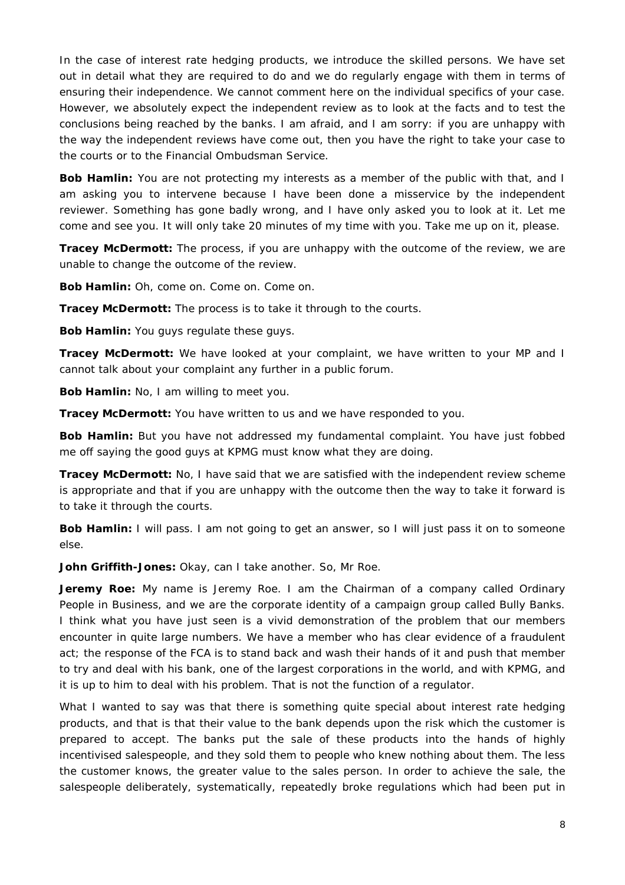In the case of interest rate hedging products, we introduce the skilled persons. We have set out in detail what they are required to do and we do regularly engage with them in terms of ensuring their independence. We cannot comment here on the individual specifics of your case. However, we absolutely expect the independent review as to look at the facts and to test the conclusions being reached by the banks. I am afraid, and I am sorry: if you are unhappy with the way the independent reviews have come out, then you have the right to take your case to the courts or to the Financial Ombudsman Service.

**Bob Hamlin:** You are not protecting my interests as a member of the public with that, and I am asking you to intervene because I have been done a misservice by the independent reviewer. Something has gone badly wrong, and I have only asked you to look at it. Let me come and see you. It will only take 20 minutes of my time with you. Take me up on it, please.

**Tracey McDermott:** The process, if you are unhappy with the outcome of the review, we are unable to change the outcome of the review.

**Bob Hamlin:** Oh, come on. Come on. Come on.

**Tracey McDermott:** The process is to take it through to the courts.

**Bob Hamlin:** You guys regulate these guys.

**Tracey McDermott:** We have looked at your complaint, we have written to your MP and I cannot talk about your complaint any further in a public forum.

**Bob Hamlin:** No, I am willing to meet you.

**Tracey McDermott:** You have written to us and we have responded to you.

**Bob Hamlin:** But you have not addressed my fundamental complaint. You have just fobbed me off saying the good guys at KPMG must know what they are doing.

**Tracey McDermott:** No, I have said that we are satisfied with the independent review scheme is appropriate and that if you are unhappy with the outcome then the way to take it forward is to take it through the courts.

**Bob Hamlin:** I will pass. I am not going to get an answer, so I will just pass it on to someone else.

**John Griffith-Jones:** Okay, can I take another. So, Mr Roe.

**Jeremy Roe:** My name is Jeremy Roe. I am the Chairman of a company called Ordinary People in Business, and we are the corporate identity of a campaign group called Bully Banks. I think what you have just seen is a vivid demonstration of the problem that our members encounter in quite large numbers. We have a member who has clear evidence of a fraudulent act; the response of the FCA is to stand back and wash their hands of it and push that member to try and deal with his bank, one of the largest corporations in the world, and with KPMG, and it is up to him to deal with his problem. That is not the function of a regulator.

What I wanted to say was that there is something quite special about interest rate hedging products, and that is that their value to the bank depends upon the risk which the customer is prepared to accept. The banks put the sale of these products into the hands of highly incentivised salespeople, and they sold them to people who knew nothing about them. The less the customer knows, the greater value to the sales person. In order to achieve the sale, the salespeople deliberately, systematically, repeatedly broke regulations which had been put in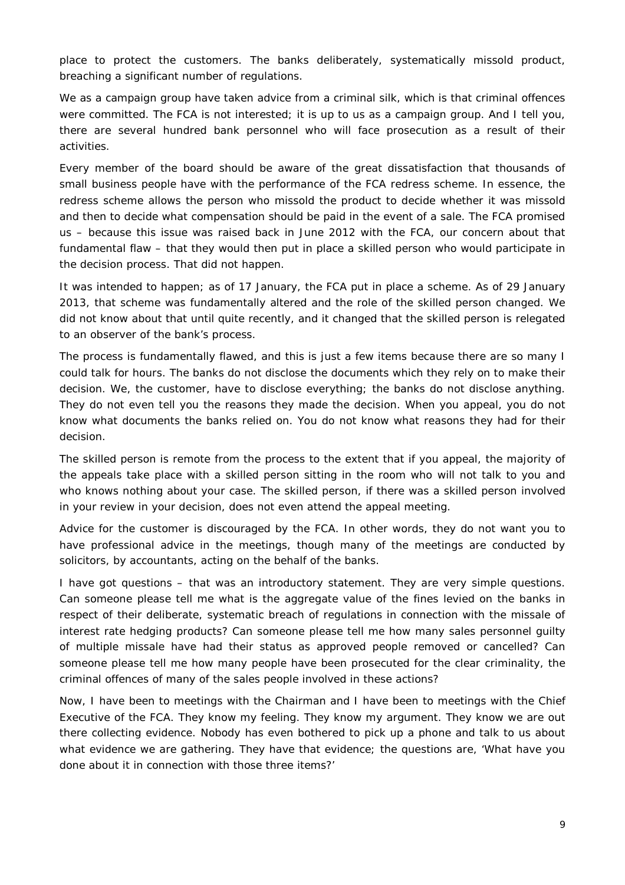place to protect the customers. The banks deliberately, systematically missold product, breaching a significant number of regulations.

We as a campaign group have taken advice from a criminal silk, which is that criminal offences were committed. The FCA is not interested; it is up to us as a campaign group. And I tell you, there are several hundred bank personnel who will face prosecution as a result of their activities.

Every member of the board should be aware of the great dissatisfaction that thousands of small business people have with the performance of the FCA redress scheme. In essence, the redress scheme allows the person who missold the product to decide whether it was missold and then to decide what compensation should be paid in the event of a sale. The FCA promised us – because this issue was raised back in June 2012 with the FCA, our concern about that fundamental flaw – that they would then put in place a skilled person who would participate in the decision process. That did not happen.

It was intended to happen; as of 17 January, the FCA put in place a scheme. As of 29 January 2013, that scheme was fundamentally altered and the role of the skilled person changed. We did not know about that until quite recently, and it changed that the skilled person is relegated to an observer of the bank's process.

The process is fundamentally flawed, and this is just a few items because there are so many I could talk for hours. The banks do not disclose the documents which they rely on to make their decision. We, the customer, have to disclose everything; the banks do not disclose anything. They do not even tell you the reasons they made the decision. When you appeal, you do not know what documents the banks relied on. You do not know what reasons they had for their decision.

The skilled person is remote from the process to the extent that if you appeal, the majority of the appeals take place with a skilled person sitting in the room who will not talk to you and who knows nothing about your case. The skilled person, if there was a skilled person involved in your review in your decision, does not even attend the appeal meeting.

Advice for the customer is discouraged by the FCA. In other words, they do not want you to have professional advice in the meetings, though many of the meetings are conducted by solicitors, by accountants, acting on the behalf of the banks.

I have got questions – that was an introductory statement. They are very simple questions. Can someone please tell me what is the aggregate value of the fines levied on the banks in respect of their deliberate, systematic breach of regulations in connection with the missale of interest rate hedging products? Can someone please tell me how many sales personnel guilty of multiple missale have had their status as approved people removed or cancelled? Can someone please tell me how many people have been prosecuted for the clear criminality, the criminal offences of many of the sales people involved in these actions?

Now, I have been to meetings with the Chairman and I have been to meetings with the Chief Executive of the FCA. They know my feeling. They know my argument. They know we are out there collecting evidence. Nobody has even bothered to pick up a phone and talk to us about what evidence we are gathering. They have that evidence; the questions are, 'What have you done about it in connection with those three items?'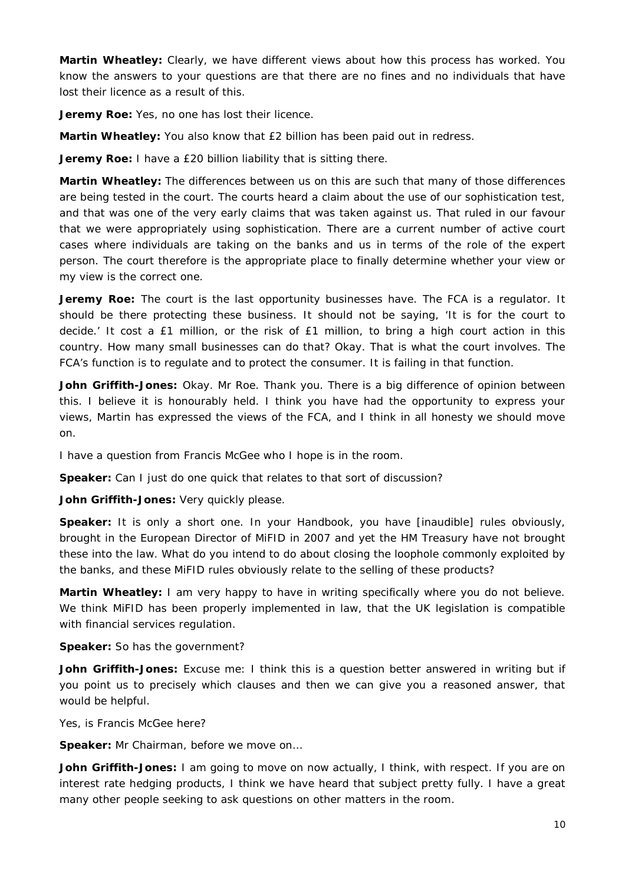**Martin Wheatley:** Clearly, we have different views about how this process has worked. You know the answers to your questions are that there are no fines and no individuals that have lost their licence as a result of this.

**Jeremy Roe:** Yes, no one has lost their licence.

**Martin Wheatley:** You also know that £2 billion has been paid out in redress.

**Jeremy Roe:** I have a £20 billion liability that is sitting there.

**Martin Wheatley:** The differences between us on this are such that many of those differences are being tested in the court. The courts heard a claim about the use of our sophistication test, and that was one of the very early claims that was taken against us. That ruled in our favour that we were appropriately using sophistication. There are a current number of active court cases where individuals are taking on the banks and us in terms of the role of the expert person. The court therefore is the appropriate place to finally determine whether your view or my view is the correct one.

**Jeremy Roe:** The court is the last opportunity businesses have. The FCA is a regulator. It should be there protecting these business. It should not be saying, 'It is for the court to decide.' It cost a £1 million, or the risk of £1 million, to bring a high court action in this country. How many small businesses can do that? Okay. That is what the court involves. The FCA's function is to regulate and to protect the consumer. It is failing in that function.

**John Griffith-Jones:** Okay. Mr Roe. Thank you. There is a big difference of opinion between this. I believe it is honourably held. I think you have had the opportunity to express your views, Martin has expressed the views of the FCA, and I think in all honesty we should move on.

I have a question from Francis McGee who I hope is in the room.

**Speaker:** Can I just do one quick that relates to that sort of discussion?

**John Griffith-Jones:** Very quickly please.

**Speaker:** It is only a short one. In your Handbook, you have [inaudible] rules obviously, brought in the European Director of MiFID in 2007 and yet the HM Treasury have not brought these into the law. What do you intend to do about closing the loophole commonly exploited by the banks, and these MiFID rules obviously relate to the selling of these products?

**Martin Wheatley:** I am very happy to have in writing specifically where you do not believe. We think MiFID has been properly implemented in law, that the UK legislation is compatible with financial services regulation.

**Speaker:** So has the government?

**John Griffith-Jones:** Excuse me: I think this is a question better answered in writing but if you point us to precisely which clauses and then we can give you a reasoned answer, that would be helpful.

Yes, is Francis McGee here?

**Speaker:** Mr Chairman, before we move on…

John Griffith-Jones: I am going to move on now actually, I think, with respect. If you are on interest rate hedging products, I think we have heard that subject pretty fully. I have a great many other people seeking to ask questions on other matters in the room.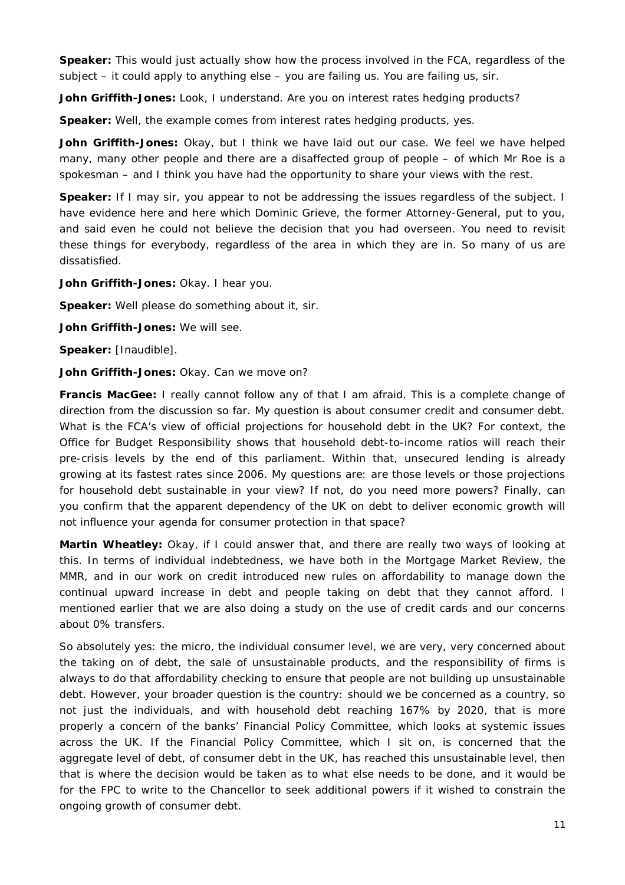**Speaker:** This would just actually show how the process involved in the FCA, regardless of the subject – it could apply to anything else – you are failing us. You are failing us, sir.

John Griffith-Jones: Look, I understand. Are you on interest rates hedging products?

**Speaker:** Well, the example comes from interest rates hedging products, yes.

**John Griffith-Jones:** Okay, but I think we have laid out our case. We feel we have helped many, many other people and there are a disaffected group of people – of which Mr Roe is a spokesman – and I think you have had the opportunity to share your views with the rest.

**Speaker:** If I may sir, you appear to not be addressing the issues regardless of the subject. I have evidence here and here which Dominic Grieve, the former Attorney-General, put to you, and said even he could not believe the decision that you had overseen. You need to revisit these things for everybody, regardless of the area in which they are in. So many of us are dissatisfied.

**John Griffith-Jones:** Okay. I hear you.

**Speaker:** Well please do something about it, sir.

**John Griffith-Jones:** We will see.

**Speaker:** [Inaudible].

**John Griffith-Jones:** Okay. Can we move on?

**Francis MacGee:** I really cannot follow any of that I am afraid. This is a complete change of direction from the discussion so far. My question is about consumer credit and consumer debt. What is the FCA's view of official projections for household debt in the UK? For context, the Office for Budget Responsibility shows that household debt-to-income ratios will reach their pre-crisis levels by the end of this parliament. Within that, unsecured lending is already growing at its fastest rates since 2006. My questions are: are those levels or those projections for household debt sustainable in your view? If not, do you need more powers? Finally, can you confirm that the apparent dependency of the UK on debt to deliver economic growth will not influence your agenda for consumer protection in that space?

**Martin Wheatley:** Okay, if I could answer that, and there are really two ways of looking at this. In terms of individual indebtedness, we have both in the Mortgage Market Review, the MMR, and in our work on credit introduced new rules on affordability to manage down the continual upward increase in debt and people taking on debt that they cannot afford. I mentioned earlier that we are also doing a study on the use of credit cards and our concerns about 0% transfers.

So absolutely yes: the micro, the individual consumer level, we are very, very concerned about the taking on of debt, the sale of unsustainable products, and the responsibility of firms is always to do that affordability checking to ensure that people are not building up unsustainable debt. However, your broader question is the country: should we be concerned as a country, so not just the individuals, and with household debt reaching 167% by 2020, that is more properly a concern of the banks' Financial Policy Committee, which looks at systemic issues across the UK. If the Financial Policy Committee, which I sit on, is concerned that the aggregate level of debt, of consumer debt in the UK, has reached this unsustainable level, then that is where the decision would be taken as to what else needs to be done, and it would be for the FPC to write to the Chancellor to seek additional powers if it wished to constrain the ongoing growth of consumer debt.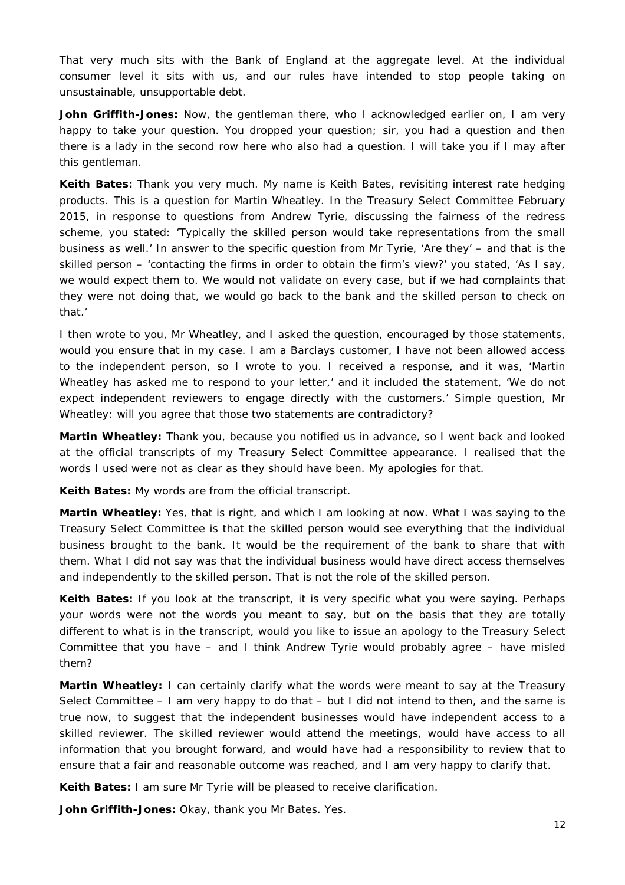That very much sits with the Bank of England at the aggregate level. At the individual consumer level it sits with us, and our rules have intended to stop people taking on unsustainable, unsupportable debt.

**John Griffith-Jones:** Now, the gentleman there, who I acknowledged earlier on, I am very happy to take your question. You dropped your question; sir, you had a question and then there is a lady in the second row here who also had a question. I will take you if I may after this gentleman.

**Keith Bates:** Thank you very much. My name is Keith Bates, revisiting interest rate hedging products. This is a question for Martin Wheatley. In the Treasury Select Committee February 2015, in response to questions from Andrew Tyrie, discussing the fairness of the redress scheme, you stated: 'Typically the skilled person would take representations from the small business as well.' In answer to the specific question from Mr Tyrie, 'Are they' – and that is the skilled person – 'contacting the firms in order to obtain the firm's view?' you stated, 'As I say, we would expect them to. We would not validate on every case, but if we had complaints that they were not doing that, we would go back to the bank and the skilled person to check on that.'

I then wrote to you, Mr Wheatley, and I asked the question, encouraged by those statements, would you ensure that in my case. I am a Barclays customer, I have not been allowed access to the independent person, so I wrote to you. I received a response, and it was, 'Martin Wheatley has asked me to respond to your letter,' and it included the statement, 'We do not expect independent reviewers to engage directly with the customers.' Simple question, Mr Wheatley: will you agree that those two statements are contradictory?

**Martin Wheatley:** Thank you, because you notified us in advance, so I went back and looked at the official transcripts of my Treasury Select Committee appearance. I realised that the words I used were not as clear as they should have been. My apologies for that.

**Keith Bates:** My words are from the official transcript.

**Martin Wheatley:** Yes, that is right, and which I am looking at now. What I was saying to the Treasury Select Committee is that the skilled person would see everything that the individual business brought to the bank. It would be the requirement of the bank to share that with them. What I did not say was that the individual business would have direct access themselves and independently to the skilled person. That is not the role of the skilled person.

**Keith Bates:** If you look at the transcript, it is very specific what you were saying. Perhaps your words were not the words you meant to say, but on the basis that they are totally different to what is in the transcript, would you like to issue an apology to the Treasury Select Committee that you have – and I think Andrew Tyrie would probably agree – have misled them?

**Martin Wheatley:** I can certainly clarify what the words were meant to say at the Treasury Select Committee  $-1$  am very happy to do that  $-$  but I did not intend to then, and the same is true now, to suggest that the independent businesses would have independent access to a skilled reviewer. The skilled reviewer would attend the meetings, would have access to all information that you brought forward, and would have had a responsibility to review that to ensure that a fair and reasonable outcome was reached, and I am very happy to clarify that.

**Keith Bates:** I am sure Mr Tyrie will be pleased to receive clarification.

**John Griffith-Jones:** Okay, thank you Mr Bates. Yes.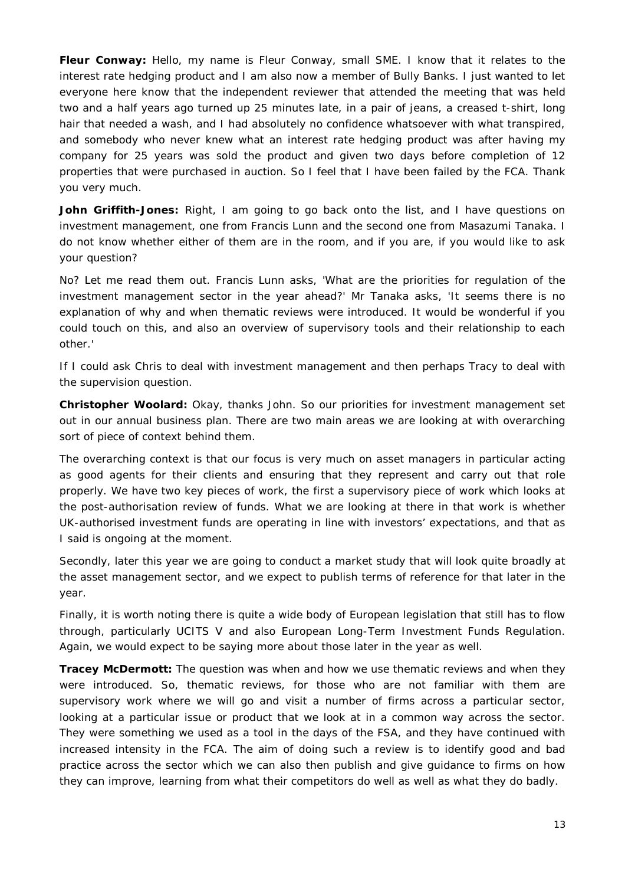**Fleur Conway:** Hello, my name is Fleur Conway, small SME. I know that it relates to the interest rate hedging product and I am also now a member of Bully Banks. I just wanted to let everyone here know that the independent reviewer that attended the meeting that was held two and a half years ago turned up 25 minutes late, in a pair of jeans, a creased t-shirt, long hair that needed a wash, and I had absolutely no confidence whatsoever with what transpired, and somebody who never knew what an interest rate hedging product was after having my company for 25 years was sold the product and given two days before completion of 12 properties that were purchased in auction. So I feel that I have been failed by the FCA. Thank you very much.

**John Griffith-Jones:** Right, I am going to go back onto the list, and I have questions on investment management, one from Francis Lunn and the second one from Masazumi Tanaka. I do not know whether either of them are in the room, and if you are, if you would like to ask your question?

No? Let me read them out. Francis Lunn asks, 'What are the priorities for regulation of the investment management sector in the year ahead?' Mr Tanaka asks, 'It seems there is no explanation of why and when thematic reviews were introduced. It would be wonderful if you could touch on this, and also an overview of supervisory tools and their relationship to each other.'

If I could ask Chris to deal with investment management and then perhaps Tracy to deal with the supervision question.

**Christopher Woolard:** Okay, thanks John. So our priorities for investment management set out in our annual business plan. There are two main areas we are looking at with overarching sort of piece of context behind them.

The overarching context is that our focus is very much on asset managers in particular acting as good agents for their clients and ensuring that they represent and carry out that role properly. We have two key pieces of work, the first a supervisory piece of work which looks at the post-authorisation review of funds. What we are looking at there in that work is whether UK-authorised investment funds are operating in line with investors' expectations, and that as I said is ongoing at the moment.

Secondly, later this year we are going to conduct a market study that will look quite broadly at the asset management sector, and we expect to publish terms of reference for that later in the year.

Finally, it is worth noting there is quite a wide body of European legislation that still has to flow through, particularly UCITS V and also European Long-Term Investment Funds Regulation. Again, we would expect to be saying more about those later in the year as well.

**Tracey McDermott:** The question was when and how we use thematic reviews and when they were introduced. So, thematic reviews, for those who are not familiar with them are supervisory work where we will go and visit a number of firms across a particular sector, looking at a particular issue or product that we look at in a common way across the sector. They were something we used as a tool in the days of the FSA, and they have continued with increased intensity in the FCA. The aim of doing such a review is to identify good and bad practice across the sector which we can also then publish and give guidance to firms on how they can improve, learning from what their competitors do well as well as what they do badly.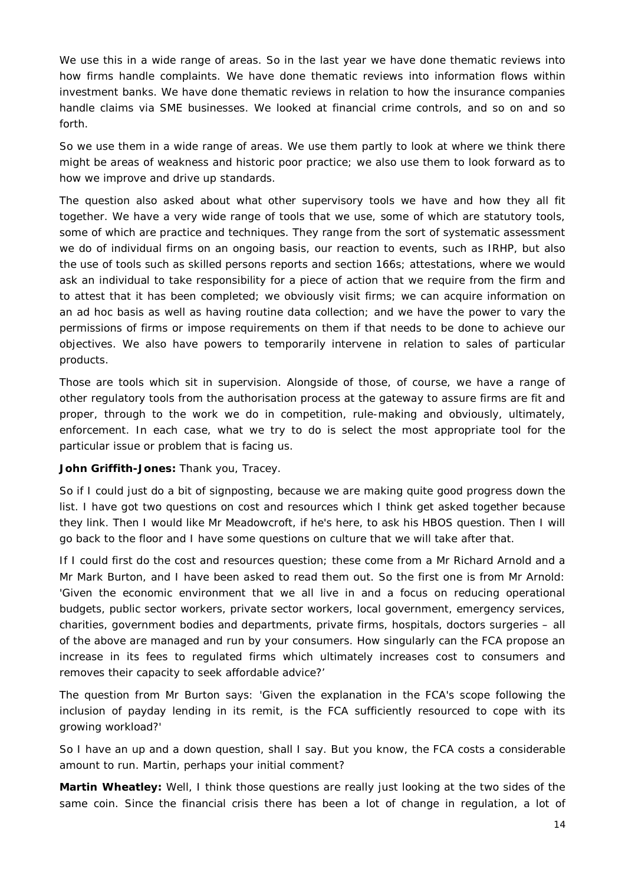We use this in a wide range of areas. So in the last year we have done thematic reviews into how firms handle complaints. We have done thematic reviews into information flows within investment banks. We have done thematic reviews in relation to how the insurance companies handle claims via SME businesses. We looked at financial crime controls, and so on and so forth.

So we use them in a wide range of areas. We use them partly to look at where we think there might be areas of weakness and historic poor practice; we also use them to look forward as to how we improve and drive up standards.

The question also asked about what other supervisory tools we have and how they all fit together. We have a very wide range of tools that we use, some of which are statutory tools, some of which are practice and techniques. They range from the sort of systematic assessment we do of individual firms on an ongoing basis, our reaction to events, such as IRHP, but also the use of tools such as skilled persons reports and section 166s; attestations, where we would ask an individual to take responsibility for a piece of action that we require from the firm and to attest that it has been completed; we obviously visit firms; we can acquire information on an ad hoc basis as well as having routine data collection; and we have the power to vary the permissions of firms or impose requirements on them if that needs to be done to achieve our objectives. We also have powers to temporarily intervene in relation to sales of particular products.

Those are tools which sit in supervision. Alongside of those, of course, we have a range of other regulatory tools from the authorisation process at the gateway to assure firms are fit and proper, through to the work we do in competition, rule-making and obviously, ultimately, enforcement. In each case, what we try to do is select the most appropriate tool for the particular issue or problem that is facing us.

## **John Griffith-Jones:** Thank you, Tracey.

So if I could just do a bit of signposting, because we are making quite good progress down the list. I have got two questions on cost and resources which I think get asked together because they link. Then I would like Mr Meadowcroft, if he's here, to ask his HBOS question. Then I will go back to the floor and I have some questions on culture that we will take after that.

If I could first do the cost and resources question; these come from a Mr Richard Arnold and a Mr Mark Burton, and I have been asked to read them out. So the first one is from Mr Arnold: 'Given the economic environment that we all live in and a focus on reducing operational budgets, public sector workers, private sector workers, local government, emergency services, charities, government bodies and departments, private firms, hospitals, doctors surgeries – all of the above are managed and run by your consumers. How singularly can the FCA propose an increase in its fees to regulated firms which ultimately increases cost to consumers and removes their capacity to seek affordable advice?'

The question from Mr Burton says: 'Given the explanation in the FCA's scope following the inclusion of payday lending in its remit, is the FCA sufficiently resourced to cope with its growing workload?'

So I have an up and a down question, shall I say. But you know, the FCA costs a considerable amount to run. Martin, perhaps your initial comment?

**Martin Wheatley:** Well, I think those questions are really just looking at the two sides of the same coin. Since the financial crisis there has been a lot of change in regulation, a lot of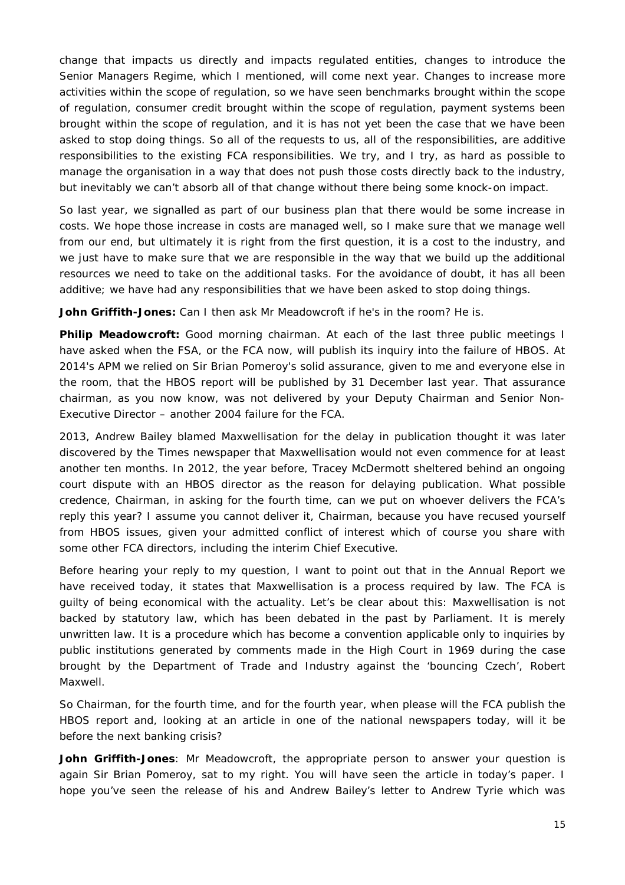change that impacts us directly and impacts regulated entities, changes to introduce the Senior Managers Regime, which I mentioned, will come next year. Changes to increase more activities within the scope of regulation, so we have seen benchmarks brought within the scope of regulation, consumer credit brought within the scope of regulation, payment systems been brought within the scope of regulation, and it is has not yet been the case that we have been asked to stop doing things. So all of the requests to us, all of the responsibilities, are additive responsibilities to the existing FCA responsibilities. We try, and I try, as hard as possible to manage the organisation in a way that does not push those costs directly back to the industry, but inevitably we can't absorb all of that change without there being some knock-on impact.

So last year, we signalled as part of our business plan that there would be some increase in costs. We hope those increase in costs are managed well, so I make sure that we manage well from our end, but ultimately it is right from the first question, it is a cost to the industry, and we just have to make sure that we are responsible in the way that we build up the additional resources we need to take on the additional tasks. For the avoidance of doubt, it has all been additive; we have had any responsibilities that we have been asked to stop doing things.

**John Griffith-Jones:** Can I then ask Mr Meadowcroft if he's in the room? He is.

**Philip Meadowcroft:** Good morning chairman. At each of the last three public meetings I have asked when the FSA, or the FCA now, will publish its inquiry into the failure of HBOS. At 2014's APM we relied on Sir Brian Pomeroy's solid assurance, given to me and everyone else in the room, that the HBOS report will be published by 31 December last year. That assurance chairman, as you now know, was not delivered by your Deputy Chairman and Senior Non-Executive Director – another 2004 failure for the FCA.

2013, Andrew Bailey blamed Maxwellisation for the delay in publication thought it was later discovered by the *Times* newspaper that Maxwellisation would not even commence for at least another ten months. In 2012, the year before, Tracey McDermott sheltered behind an ongoing court dispute with an HBOS director as the reason for delaying publication. What possible credence, Chairman, in asking for the fourth time, can we put on whoever delivers the FCA's reply this year? I assume you cannot deliver it, Chairman, because you have recused yourself from HBOS issues, given your admitted conflict of interest which of course you share with some other FCA directors, including the interim Chief Executive.

Before hearing your reply to my question, I want to point out that in the Annual Report we have received today, it states that Maxwellisation is a process required by law. The FCA is guilty of being economical with the actuality. Let's be clear about this: Maxwellisation is not backed by statutory law, which has been debated in the past by Parliament. It is merely unwritten law. It is a procedure which has become a convention applicable only to inquiries by public institutions generated by comments made in the High Court in 1969 during the case brought by the Department of Trade and Industry against the 'bouncing Czech', Robert Maxwell.

So Chairman, for the fourth time, and for the fourth year, when please will the FCA publish the HBOS report and, looking at an article in one of the national newspapers today, will it be before the next banking crisis?

**John Griffith-Jones**: Mr Meadowcroft, the appropriate person to answer your question is again Sir Brian Pomeroy, sat to my right. You will have seen the article in today's paper. I hope you've seen the release of his and Andrew Bailey's letter to Andrew Tyrie which was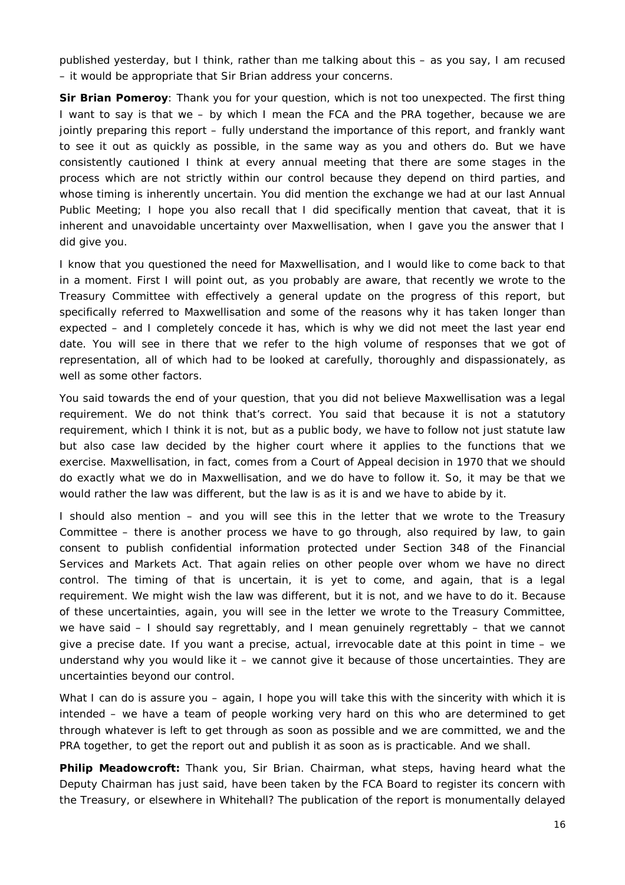published yesterday, but I think, rather than me talking about this – as you say, I am recused – it would be appropriate that Sir Brian address your concerns.

**Sir Brian Pomeroy**: Thank you for your question, which is not too unexpected. The first thing I want to say is that we – by which I mean the FCA and the PRA together, because we are jointly preparing this report – fully understand the importance of this report, and frankly want to see it out as quickly as possible, in the same way as you and others do. But we have consistently cautioned I think at every annual meeting that there are some stages in the process which are not strictly within our control because they depend on third parties, and whose timing is inherently uncertain. You did mention the exchange we had at our last Annual Public Meeting; I hope you also recall that I did specifically mention that caveat, that it is inherent and unavoidable uncertainty over Maxwellisation, when I gave you the answer that I did give you.

I know that you questioned the need for Maxwellisation, and I would like to come back to that in a moment. First I will point out, as you probably are aware, that recently we wrote to the Treasury Committee with effectively a general update on the progress of this report, but specifically referred to Maxwellisation and some of the reasons why it has taken longer than expected – and I completely concede it has, which is why we did not meet the last year end date. You will see in there that we refer to the high volume of responses that we got of representation, all of which had to be looked at carefully, thoroughly and dispassionately, as well as some other factors.

You said towards the end of your question, that you did not believe Maxwellisation was a legal requirement. We do not think that's correct. You said that because it is not a statutory requirement, which I think it is not, but as a public body, we have to follow not just statute law but also case law decided by the higher court where it applies to the functions that we exercise. Maxwellisation, in fact, comes from a Court of Appeal decision in 1970 that we should do exactly what we do in Maxwellisation, and we do have to follow it. So, it may be that we would rather the law was different, but the law is as it is and we have to abide by it.

I should also mention – and you will see this in the letter that we wrote to the Treasury Committee – there is another process we have to go through, also required by law, to gain consent to publish confidential information protected under Section 348 of the Financial Services and Markets Act. That again relies on other people over whom we have no direct control. The timing of that is uncertain, it is yet to come, and again, that is a legal requirement. We might wish the law was different, but it is not, and we have to do it. Because of these uncertainties, again, you will see in the letter we wrote to the Treasury Committee, we have said – I should say regrettably, and I mean genuinely regrettably – that we cannot give a precise date. If you want a precise, actual, irrevocable date at this point in time – we understand why you would like it – we cannot give it because of those uncertainties. They are uncertainties beyond our control.

What I can do is assure you – again, I hope you will take this with the sincerity with which it is intended – we have a team of people working very hard on this who are determined to get through whatever is left to get through as soon as possible and we are committed, we and the PRA together, to get the report out and publish it as soon as is practicable. And we shall.

**Philip Meadowcroft:** Thank you, Sir Brian. Chairman, what steps, having heard what the Deputy Chairman has just said, have been taken by the FCA Board to register its concern with the Treasury, or elsewhere in Whitehall? The publication of the report is monumentally delayed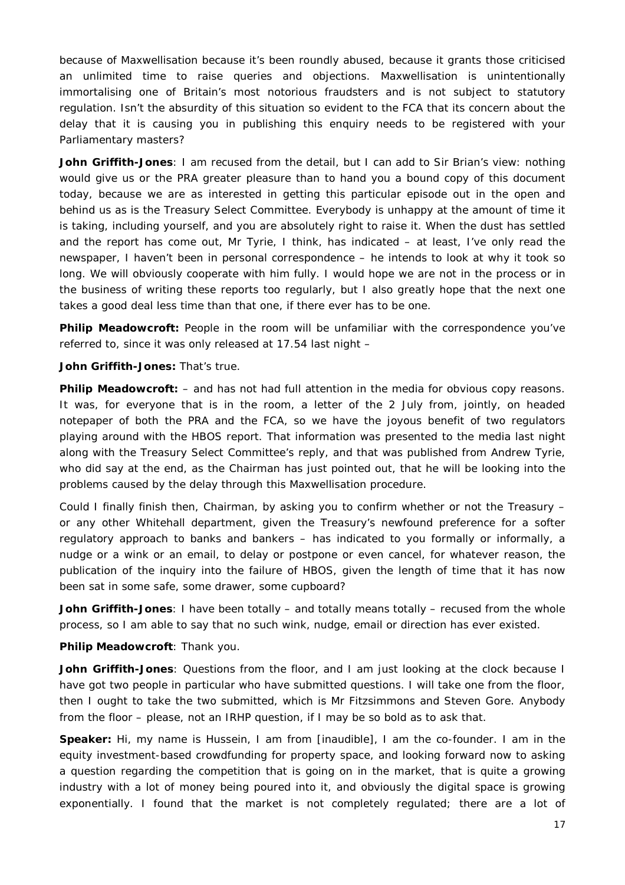because of Maxwellisation because it's been roundly abused, because it grants those criticised an unlimited time to raise queries and objections. Maxwellisation is unintentionally immortalising one of Britain's most notorious fraudsters and is not subject to statutory regulation. Isn't the absurdity of this situation so evident to the FCA that its concern about the delay that it is causing you in publishing this enquiry needs to be registered with your Parliamentary masters?

**John Griffith-Jones**: I am recused from the detail, but I can add to Sir Brian's view: nothing would give us or the PRA greater pleasure than to hand you a bound copy of this document today, because we are as interested in getting this particular episode out in the open and behind us as is the Treasury Select Committee. Everybody is unhappy at the amount of time it is taking, including yourself, and you are absolutely right to raise it. When the dust has settled and the report has come out, Mr Tyrie, I think, has indicated – at least, I've only read the newspaper, I haven't been in personal correspondence – he intends to look at why it took so long. We will obviously cooperate with him fully. I would hope we are not in the process or in the business of writing these reports too regularly, but I also greatly hope that the next one takes a good deal less time than that one, if there ever has to be one.

**Philip Meadowcroft:** People in the room will be unfamiliar with the correspondence you've referred to, since it was only released at 17.54 last night –

**John Griffith-Jones:** That's true.

**Philip Meadowcroft:** – and has not had full attention in the media for obvious copy reasons. It was, for everyone that is in the room, a letter of the 2 July from, jointly, on headed notepaper of both the PRA and the FCA, so we have the joyous benefit of two regulators playing around with the HBOS report. That information was presented to the media last night along with the Treasury Select Committee's reply, and that was published from Andrew Tyrie, who did say at the end, as the Chairman has just pointed out, that he will be looking into the problems caused by the delay through this Maxwellisation procedure.

Could I finally finish then, Chairman, by asking you to confirm whether or not the Treasury – or any other Whitehall department, given the Treasury's newfound preference for a softer regulatory approach to banks and bankers – has indicated to you formally or informally, a nudge or a wink or an email, to delay or postpone or even cancel, for whatever reason, the publication of the inquiry into the failure of HBOS, given the length of time that it has now been sat in some safe, some drawer, some cupboard?

**John Griffith-Jones**: I have been totally – and totally means totally – recused from the whole process, so I am able to say that no such wink, nudge, email or direction has ever existed.

**Philip Meadowcroft**: Thank you.

**John Griffith-Jones**: Questions from the floor, and I am just looking at the clock because I have got two people in particular who have submitted questions. I will take one from the floor, then I ought to take the two submitted, which is Mr Fitzsimmons and Steven Gore. Anybody from the floor – please, not an IRHP question, if I may be so bold as to ask that.

**Speaker:** Hi, my name is Hussein, I am from [inaudible], I am the co-founder. I am in the equity investment-based crowdfunding for property space, and looking forward now to asking a question regarding the competition that is going on in the market, that is quite a growing industry with a lot of money being poured into it, and obviously the digital space is growing exponentially. I found that the market is not completely regulated; there are a lot of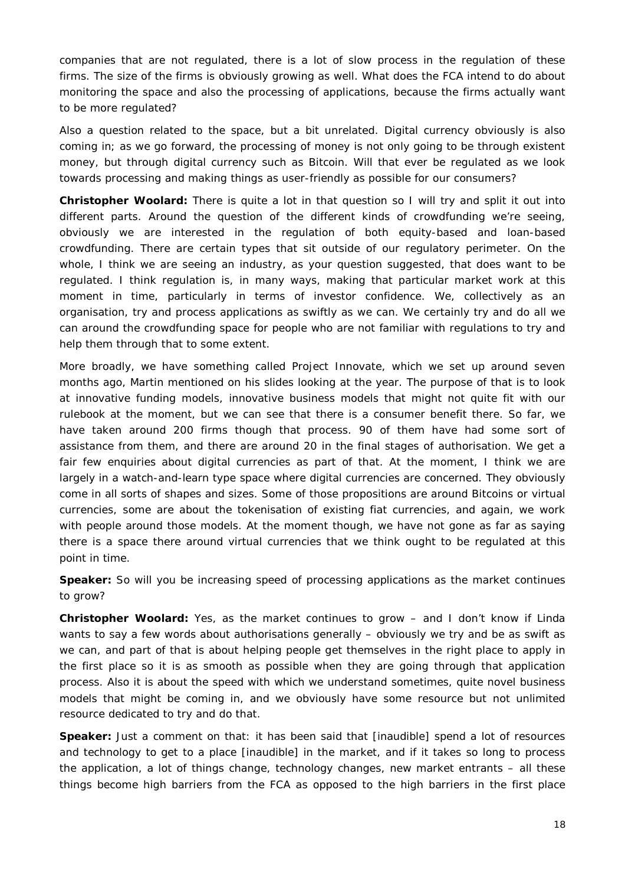companies that are not regulated, there is a lot of slow process in the regulation of these firms. The size of the firms is obviously growing as well. What does the FCA intend to do about monitoring the space and also the processing of applications, because the firms actually want to be more regulated?

Also a question related to the space, but a bit unrelated. Digital currency obviously is also coming in; as we go forward, the processing of money is not only going to be through existent money, but through digital currency such as Bitcoin. Will that ever be regulated as we look towards processing and making things as user-friendly as possible for our consumers?

**Christopher Woolard:** There is quite a lot in that question so I will try and split it out into different parts. Around the question of the different kinds of crowdfunding we're seeing, obviously we are interested in the regulation of both equity-based and loan-based crowdfunding. There are certain types that sit outside of our regulatory perimeter. On the whole, I think we are seeing an industry, as your question suggested, that does want to be regulated. I think regulation is, in many ways, making that particular market work at this moment in time, particularly in terms of investor confidence. We, collectively as an organisation, try and process applications as swiftly as we can. We certainly try and do all we can around the crowdfunding space for people who are not familiar with regulations to try and help them through that to some extent.

More broadly, we have something called Project Innovate, which we set up around seven months ago, Martin mentioned on his slides looking at the year. The purpose of that is to look at innovative funding models, innovative business models that might not quite fit with our rulebook at the moment, but we can see that there is a consumer benefit there. So far, we have taken around 200 firms though that process. 90 of them have had some sort of assistance from them, and there are around 20 in the final stages of authorisation. We get a fair few enquiries about digital currencies as part of that. At the moment, I think we are largely in a watch-and-learn type space where digital currencies are concerned. They obviously come in all sorts of shapes and sizes. Some of those propositions are around Bitcoins or virtual currencies, some are about the tokenisation of existing fiat currencies, and again, we work with people around those models. At the moment though, we have not gone as far as saying there is a space there around virtual currencies that we think ought to be regulated at this point in time.

**Speaker:** So will you be increasing speed of processing applications as the market continues to grow?

**Christopher Woolard:** Yes, as the market continues to grow – and I don't know if Linda wants to say a few words about authorisations generally – obviously we try and be as swift as we can, and part of that is about helping people get themselves in the right place to apply in the first place so it is as smooth as possible when they are going through that application process. Also it is about the speed with which we understand sometimes, quite novel business models that might be coming in, and we obviously have some resource but not unlimited resource dedicated to try and do that.

**Speaker:** Just a comment on that: it has been said that [inaudible] spend a lot of resources and technology to get to a place [inaudible] in the market, and if it takes so long to process the application, a lot of things change, technology changes, new market entrants – all these things become high barriers from the FCA as opposed to the high barriers in the first place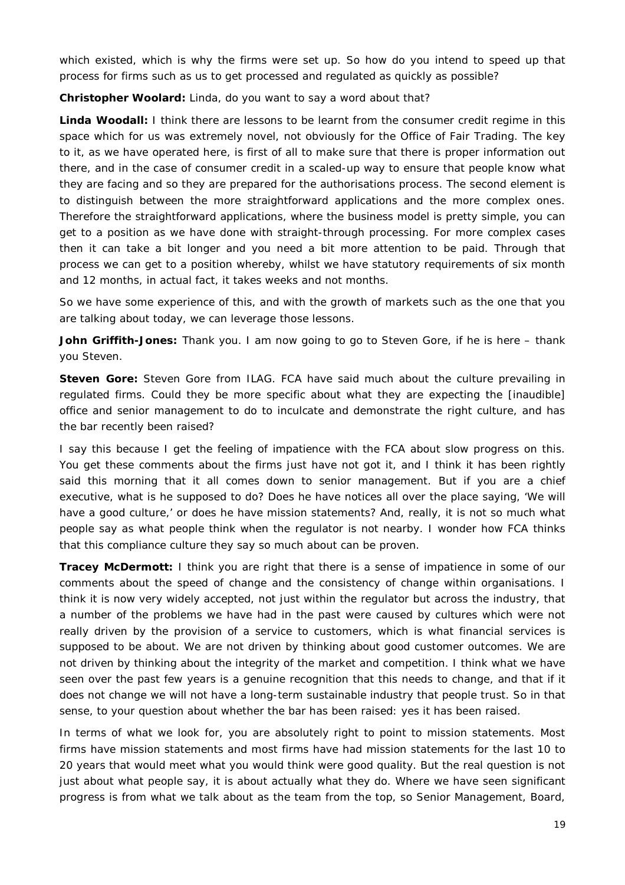which existed, which is why the firms were set up. So how do you intend to speed up that process for firms such as us to get processed and regulated as quickly as possible?

**Christopher Woolard:** Linda, do you want to say a word about that?

**Linda Woodall:** I think there are lessons to be learnt from the consumer credit regime in this space which for us was extremely novel, not obviously for the Office of Fair Trading. The key to it, as we have operated here, is first of all to make sure that there is proper information out there, and in the case of consumer credit in a scaled-up way to ensure that people know what they are facing and so they are prepared for the authorisations process. The second element is to distinguish between the more straightforward applications and the more complex ones. Therefore the straightforward applications, where the business model is pretty simple, you can get to a position as we have done with straight-through processing. For more complex cases then it can take a bit longer and you need a bit more attention to be paid. Through that process we can get to a position whereby, whilst we have statutory requirements of six month and 12 months, in actual fact, it takes weeks and not months.

So we have some experience of this, and with the growth of markets such as the one that you are talking about today, we can leverage those lessons.

**John Griffith-Jones:** Thank you. I am now going to go to Steven Gore, if he is here – thank you Steven.

**Steven Gore:** Steven Gore from ILAG. FCA have said much about the culture prevailing in regulated firms. Could they be more specific about what they are expecting the [inaudible] office and senior management to do to inculcate and demonstrate the right culture, and has the bar recently been raised?

I say this because I get the feeling of impatience with the FCA about slow progress on this. You get these comments about the firms just have not got it, and I think it has been rightly said this morning that it all comes down to senior management. But if you are a chief executive, what is he supposed to do? Does he have notices all over the place saying, 'We will have a good culture,' or does he have mission statements? And, really, it is not so much what people say as what people think when the regulator is not nearby. I wonder how FCA thinks that this compliance culture they say so much about can be proven.

**Tracey McDermott:** I think you are right that there is a sense of impatience in some of our comments about the speed of change and the consistency of change within organisations. I think it is now very widely accepted, not just within the regulator but across the industry, that a number of the problems we have had in the past were caused by cultures which were not really driven by the provision of a service to customers, which is what financial services is supposed to be about. We are not driven by thinking about good customer outcomes. We are not driven by thinking about the integrity of the market and competition. I think what we have seen over the past few years is a genuine recognition that this needs to change, and that if it does not change we will not have a long-term sustainable industry that people trust. So in that sense, to your question about whether the bar has been raised: yes it has been raised.

In terms of what we look for, you are absolutely right to point to mission statements. Most firms have mission statements and most firms have had mission statements for the last 10 to 20 years that would meet what you would think were good quality. But the real question is not just about what people say, it is about actually what they do. Where we have seen significant progress is from what we talk about as the team from the top, so Senior Management, Board,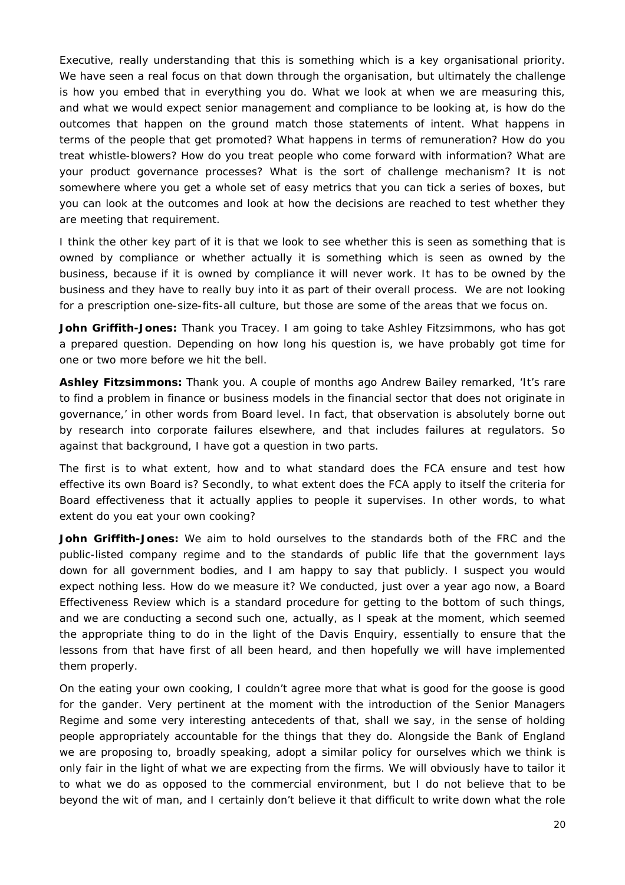Executive, really understanding that this is something which is a key organisational priority. We have seen a real focus on that down through the organisation, but ultimately the challenge is how you embed that in everything you do. What we look at when we are measuring this, and what we would expect senior management and compliance to be looking at, is how do the outcomes that happen on the ground match those statements of intent. What happens in terms of the people that get promoted? What happens in terms of remuneration? How do you treat whistle-blowers? How do you treat people who come forward with information? What are your product governance processes? What is the sort of challenge mechanism? It is not somewhere where you get a whole set of easy metrics that you can tick a series of boxes, but you can look at the outcomes and look at how the decisions are reached to test whether they are meeting that requirement.

I think the other key part of it is that we look to see whether this is seen as something that is owned by compliance or whether actually it is something which is seen as owned by the business, because if it is owned by compliance it will never work. It has to be owned by the business and they have to really buy into it as part of their overall process. We are not looking for a prescription one-size-fits-all culture, but those are some of the areas that we focus on.

**John Griffith-Jones:** Thank you Tracey. I am going to take Ashley Fitzsimmons, who has got a prepared question. Depending on how long his question is, we have probably got time for one or two more before we hit the bell.

**Ashley Fitzsimmons:** Thank you. A couple of months ago Andrew Bailey remarked, 'It's rare to find a problem in finance or business models in the financial sector that does not originate in governance,' in other words from Board level. In fact, that observation is absolutely borne out by research into corporate failures elsewhere, and that includes failures at regulators. So against that background, I have got a question in two parts.

The first is to what extent, how and to what standard does the FCA ensure and test how effective its own Board is? Secondly, to what extent does the FCA apply to itself the criteria for Board effectiveness that it actually applies to people it supervises. In other words, to what extent do you eat your own cooking?

**John Griffith-Jones:** We aim to hold ourselves to the standards both of the FRC and the public-listed company regime and to the standards of public life that the government lays down for all government bodies, and I am happy to say that publicly. I suspect you would expect nothing less. How do we measure it? We conducted, just over a year ago now, a Board Effectiveness Review which is a standard procedure for getting to the bottom of such things, and we are conducting a second such one, actually, as I speak at the moment, which seemed the appropriate thing to do in the light of the Davis Enquiry, essentially to ensure that the lessons from that have first of all been heard, and then hopefully we will have implemented them properly.

On the eating your own cooking, I couldn't agree more that what is good for the goose is good for the gander. Very pertinent at the moment with the introduction of the Senior Managers Regime and some very interesting antecedents of that, shall we say, in the sense of holding people appropriately accountable for the things that they do. Alongside the Bank of England we are proposing to, broadly speaking, adopt a similar policy for ourselves which we think is only fair in the light of what we are expecting from the firms. We will obviously have to tailor it to what we do as opposed to the commercial environment, but I do not believe that to be beyond the wit of man, and I certainly don't believe it that difficult to write down what the role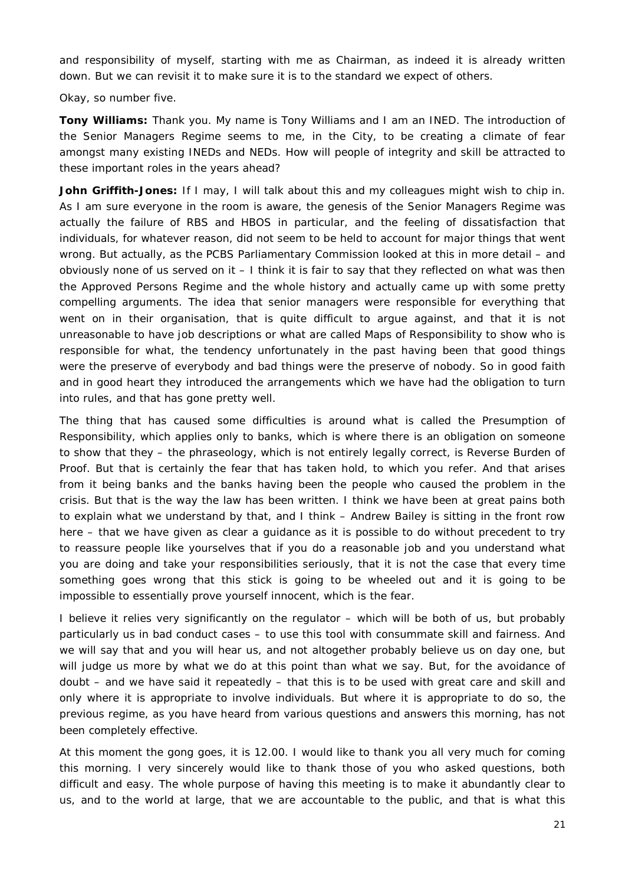and responsibility of myself, starting with me as Chairman, as indeed it is already written down. But we can revisit it to make sure it is to the standard we expect of others.

Okay, so number five.

**Tony Williams:** Thank you. My name is Tony Williams and I am an INED. The introduction of the Senior Managers Regime seems to me, in the City, to be creating a climate of fear amongst many existing INEDs and NEDs. How will people of integrity and skill be attracted to these important roles in the years ahead?

**John Griffith-Jones:** If I may, I will talk about this and my colleagues might wish to chip in. As I am sure everyone in the room is aware, the genesis of the Senior Managers Regime was actually the failure of RBS and HBOS in particular, and the feeling of dissatisfaction that individuals, for whatever reason, did not seem to be held to account for major things that went wrong. But actually, as the PCBS Parliamentary Commission looked at this in more detail – and obviously none of us served on it – I think it is fair to say that they reflected on what was then the Approved Persons Regime and the whole history and actually came up with some pretty compelling arguments. The idea that senior managers were responsible for everything that went on in their organisation, that is quite difficult to argue against, and that it is not unreasonable to have job descriptions or what are called Maps of Responsibility to show who is responsible for what, the tendency unfortunately in the past having been that good things were the preserve of everybody and bad things were the preserve of nobody. So in good faith and in good heart they introduced the arrangements which we have had the obligation to turn into rules, and that has gone pretty well.

The thing that has caused some difficulties is around what is called the Presumption of Responsibility, which applies only to banks, which is where there is an obligation on someone to show that they – the phraseology, which is not entirely legally correct, is Reverse Burden of Proof. But that is certainly the fear that has taken hold, to which you refer. And that arises from it being banks and the banks having been the people who caused the problem in the crisis. But that is the way the law has been written. I think we have been at great pains both to explain what we understand by that, and I think – Andrew Bailey is sitting in the front row here – that we have given as clear a guidance as it is possible to do without precedent to try to reassure people like yourselves that if you do a reasonable job and you understand what you are doing and take your responsibilities seriously, that it is not the case that every time something goes wrong that this stick is going to be wheeled out and it is going to be impossible to essentially prove yourself innocent, which is the fear.

I believe it relies very significantly on the regulator – which will be both of us, but probably particularly us in bad conduct cases – to use this tool with consummate skill and fairness. And we will say that and you will hear us, and not altogether probably believe us on day one, but will judge us more by what we do at this point than what we say. But, for the avoidance of doubt – and we have said it repeatedly – that this is to be used with great care and skill and only where it is appropriate to involve individuals. But where it is appropriate to do so, the previous regime, as you have heard from various questions and answers this morning, has not been completely effective.

At this moment the gong goes, it is 12.00. I would like to thank you all very much for coming this morning. I very sincerely would like to thank those of you who asked questions, both difficult and easy. The whole purpose of having this meeting is to make it abundantly clear to us, and to the world at large, that we are accountable to the public, and that is what this